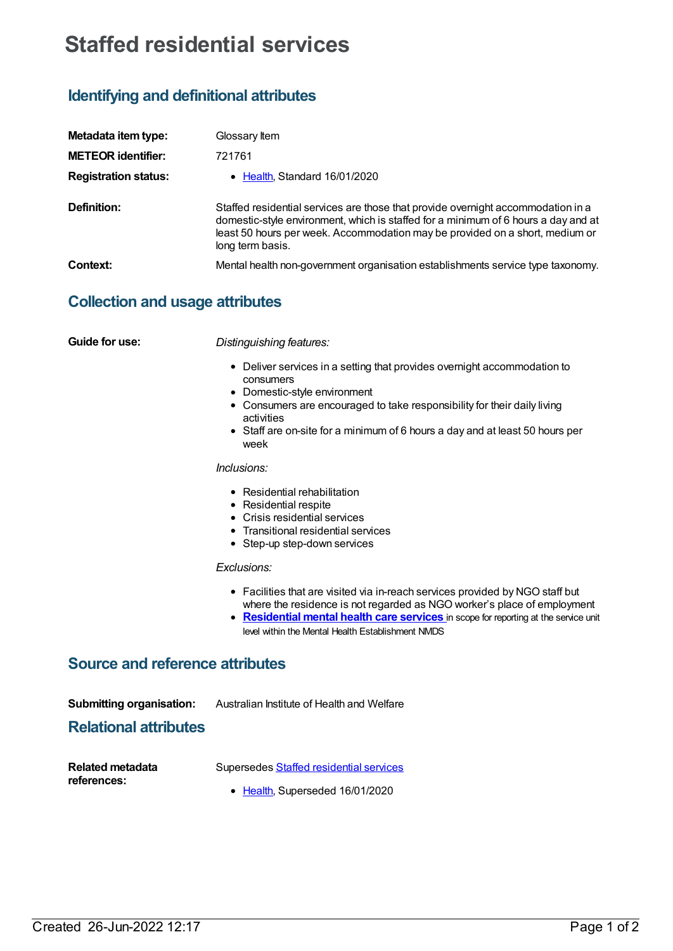# **Staffed residential services**

# **Identifying and definitional attributes**

| Metadata item type:         | Glossary Item                                                                                                                                                                                                                                                              |  |
|-----------------------------|----------------------------------------------------------------------------------------------------------------------------------------------------------------------------------------------------------------------------------------------------------------------------|--|
| <b>METEOR identifier:</b>   | 721761                                                                                                                                                                                                                                                                     |  |
| <b>Registration status:</b> | • Health, Standard 16/01/2020                                                                                                                                                                                                                                              |  |
| Definition:                 | Staffed residential services are those that provide overnight accommodation in a<br>domestic-style environment, which is staffed for a minimum of 6 hours a day and at<br>least 50 hours per week. Accommodation may be provided on a short, medium or<br>long term basis. |  |
| Context:                    | Mental health non-government organisation establishments service type taxonomy.                                                                                                                                                                                            |  |

## **Collection and usage attributes**

**Guide for use:** *Distinguishing features:*

- Deliver services in a setting that provides overnight accommodation to consumers
- Domestic-style environment
- Consumers are encouraged to take responsibility for their daily living activities
- Staff are on-site for a minimum of 6 hours a day and at least 50 hours per week

#### *Inclusions:*

- Residential rehabilitation
- Residential respite
- Crisis residential services
- Transitional residential services
- Step-up step-down services

#### *Exclusions:*

- Facilities that are visited via in-reach services provided by NGO staff but where the residence is not regarded as NGO worker's place of employment
- **[Residential](https://meteor.aihw.gov.au/content/373049) mental health care services** in scope for reporting at the service unit level within the Mental Health Establishment NMDS

# **Source and reference attributes**

| <b>Submitting organisation:</b> | Australian Institute of Health and Welfare |
|---------------------------------|--------------------------------------------|
|---------------------------------|--------------------------------------------|

### **Relational attributes**

| <b>Related metadata</b> | Supersedes Staffed residential services |
|-------------------------|-----------------------------------------|
| references:             | 1.1101010000                            |

• [Health](https://meteor.aihw.gov.au/RegistrationAuthority/12), Superseded 16/01/2020